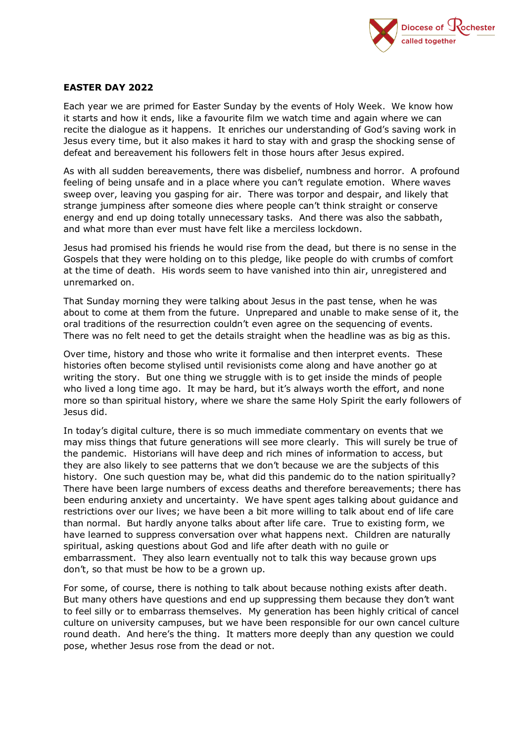

## **EASTER DAY 2022**

Each year we are primed for Easter Sunday by the events of Holy Week. We know how it starts and how it ends, like a favourite film we watch time and again where we can recite the dialogue as it happens. It enriches our understanding of God's saving work in Jesus every time, but it also makes it hard to stay with and grasp the shocking sense of defeat and bereavement his followers felt in those hours after Jesus expired.

As with all sudden bereavements, there was disbelief, numbness and horror. A profound feeling of being unsafe and in a place where you can't regulate emotion. Where waves sweep over, leaving you gasping for air. There was torpor and despair, and likely that strange jumpiness after someone dies where people can't think straight or conserve energy and end up doing totally unnecessary tasks. And there was also the sabbath, and what more than ever must have felt like a merciless lockdown.

Jesus had promised his friends he would rise from the dead, but there is no sense in the Gospels that they were holding on to this pledge, like people do with crumbs of comfort at the time of death. His words seem to have vanished into thin air, unregistered and unremarked on.

That Sunday morning they were talking about Jesus in the past tense, when he was about to come at them from the future. Unprepared and unable to make sense of it, the oral traditions of the resurrection couldn't even agree on the sequencing of events. There was no felt need to get the details straight when the headline was as big as this.

Over time, history and those who write it formalise and then interpret events. These histories often become stylised until revisionists come along and have another go at writing the story. But one thing we struggle with is to get inside the minds of people who lived a long time ago. It may be hard, but it's always worth the effort, and none more so than spiritual history, where we share the same Holy Spirit the early followers of Jesus did.

In today's digital culture, there is so much immediate commentary on events that we may miss things that future generations will see more clearly. This will surely be true of the pandemic. Historians will have deep and rich mines of information to access, but they are also likely to see patterns that we don't because we are the subjects of this history. One such question may be, what did this pandemic do to the nation spiritually? There have been large numbers of excess deaths and therefore bereavements; there has been enduring anxiety and uncertainty. We have spent ages talking about guidance and restrictions over our lives; we have been a bit more willing to talk about end of life care than normal. But hardly anyone talks about after life care. True to existing form, we have learned to suppress conversation over what happens next. Children are naturally spiritual, asking questions about God and life after death with no guile or embarrassment. They also learn eventually not to talk this way because grown ups don't, so that must be how to be a grown up.

For some, of course, there is nothing to talk about because nothing exists after death. But many others have questions and end up suppressing them because they don't want to feel silly or to embarrass themselves. My generation has been highly critical of cancel culture on university campuses, but we have been responsible for our own cancel culture round death. And here's the thing. It matters more deeply than any question we could pose, whether Jesus rose from the dead or not.